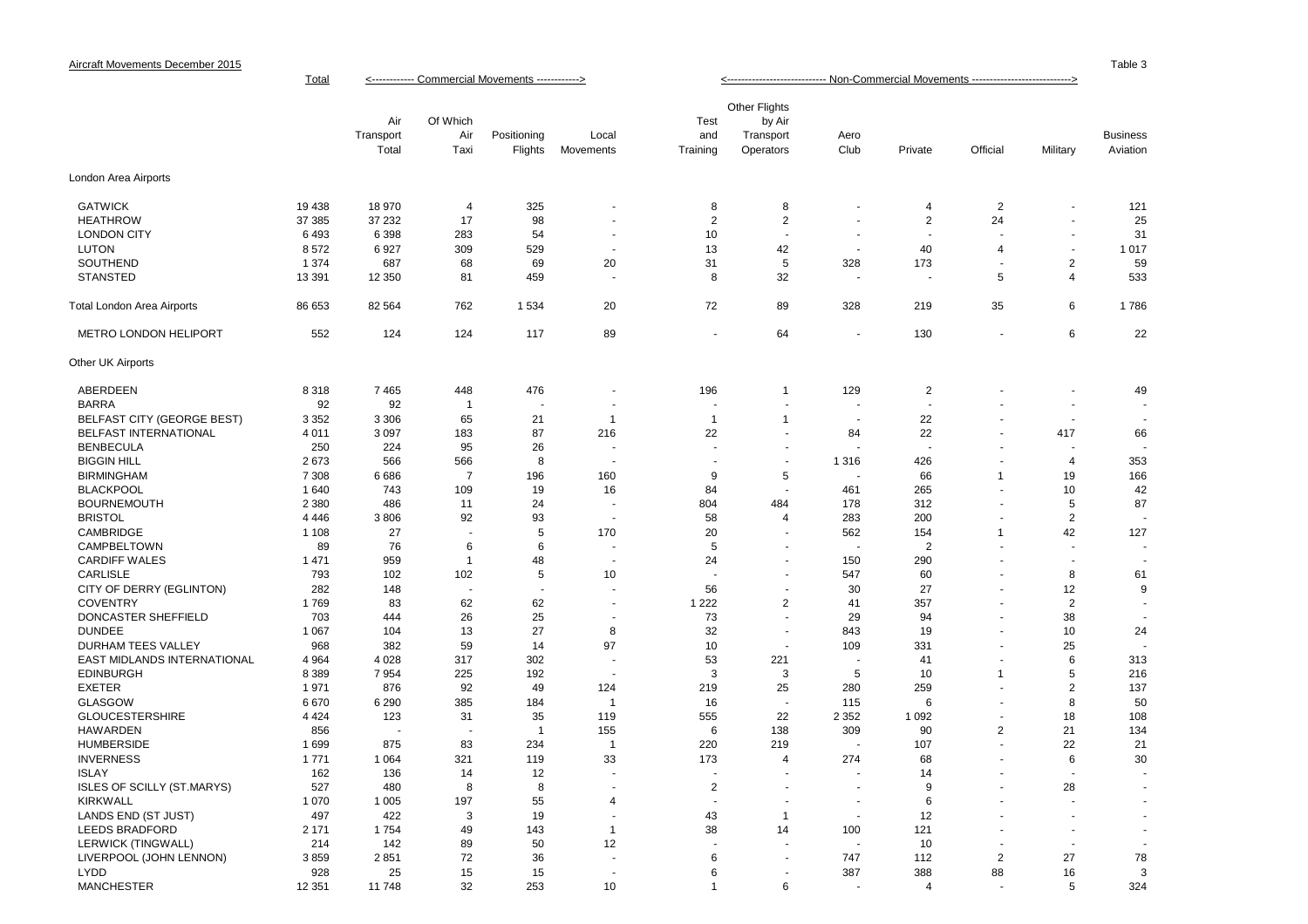| Aircraft Movements December 2015<br><---------------------------- Non-Commercial Movements -------------------------> |              |                    |                |                                                 |                          |                          |                                                   |                          |                          | Table 3                  |                |                             |
|-----------------------------------------------------------------------------------------------------------------------|--------------|--------------------|----------------|-------------------------------------------------|--------------------------|--------------------------|---------------------------------------------------|--------------------------|--------------------------|--------------------------|----------------|-----------------------------|
|                                                                                                                       | <b>Total</b> |                    |                | <----------- Commercial Movements ------------> |                          |                          |                                                   |                          |                          |                          |                |                             |
|                                                                                                                       |              | Air                | Of Which       | Positioning<br>Flights                          | Local<br>Movements       | Test<br>and<br>Training  | Other Flights<br>by Air<br>Transport<br>Operators | Aero<br>Club             | Private                  | Official                 | Military       | <b>Business</b><br>Aviation |
|                                                                                                                       |              | Transport<br>Total | Air<br>Taxi    |                                                 |                          |                          |                                                   |                          |                          |                          |                |                             |
| London Area Airports                                                                                                  |              |                    |                |                                                 |                          |                          |                                                   |                          |                          |                          |                |                             |
| <b>GATWICK</b>                                                                                                        | 19 4 38      | 18 970             | 4              | 325                                             |                          | 8                        | 8                                                 |                          | 4                        | $\overline{c}$           |                | 121                         |
| <b>HEATHROW</b>                                                                                                       | 37 385       | 37 232             | 17             | 98                                              |                          | $\overline{2}$           | $\overline{2}$                                    | $\overline{\phantom{a}}$ | $\overline{\mathbf{c}}$  | 24                       | $\overline{a}$ | 25                          |
| <b>LONDON CITY</b>                                                                                                    | 6493         | 6 3 9 8            | 283            | 54                                              |                          | 10                       | $\ddot{\phantom{0}}$                              |                          |                          |                          |                | 31                          |
| <b>LUTON</b>                                                                                                          | 8572         | 6927               | 309            | 529                                             |                          | 13                       | 42                                                | $\overline{\phantom{a}}$ | 40                       | 4                        | $\overline{a}$ | 1 0 1 7                     |
| SOUTHEND                                                                                                              | 1 3 7 4      | 687                | 68             | 69                                              | 20                       | 31                       | 5                                                 | 328                      | 173                      | $\overline{\phantom{a}}$ | $\overline{2}$ | 59                          |
| <b>STANSTED</b>                                                                                                       | 13 3 9 1     | 12 3 50            | 81             | 459                                             |                          | 8                        | 32                                                | $\overline{\phantom{a}}$ |                          | 5                        | 4              | 533                         |
| Total London Area Airports                                                                                            | 86 653       | 82 564             | 762            | 1 5 3 4                                         | 20                       | 72                       | 89                                                | 328                      | 219                      | 35                       | 6              | 1786                        |
| METRO LONDON HELIPORT                                                                                                 | 552          | 124                | 124            | 117                                             | 89                       | $\sim$                   | 64                                                | $\overline{\phantom{a}}$ | 130                      | $\overline{\phantom{a}}$ | 6              | 22                          |
| Other UK Airports                                                                                                     |              |                    |                |                                                 |                          |                          |                                                   |                          |                          |                          |                |                             |
| <b>ABERDEEN</b>                                                                                                       | 8318         | 7465               | 448            | 476                                             |                          | 196                      | $\mathbf 1$                                       | 129                      | 2                        |                          | $\overline{a}$ | 49                          |
| <b>BARRA</b>                                                                                                          | 92           | 92                 | $\overline{1}$ |                                                 |                          |                          | $\overline{\phantom{a}}$                          | $\overline{\phantom{a}}$ | $\overline{\phantom{a}}$ |                          | $\overline{a}$ |                             |
| BELFAST CITY (GEORGE BEST)                                                                                            | 3 3 5 2      | 3 3 0 6            | 65             | 21                                              | $\overline{1}$           | $\mathbf{1}$             | $\mathbf 1$                                       | $\overline{\phantom{a}}$ | 22                       |                          | $\overline{a}$ |                             |
| BELFAST INTERNATIONAL                                                                                                 | 4011         | 3 0 9 7            | 183            | 87                                              | 216                      | 22                       | $\overline{\phantom{a}}$                          | 84                       | 22                       | $\overline{\phantom{a}}$ | 417            | 66                          |
| <b>BENBECULA</b>                                                                                                      | 250          | 224                | 95             | 26                                              | $\overline{\phantom{a}}$ | $\sim$                   | $\blacksquare$                                    | $\blacksquare$           |                          |                          | $\blacksquare$ |                             |
| <b>BIGGIN HILL</b>                                                                                                    | 2673         | 566                | 566            | 8                                               | $\overline{\phantom{a}}$ | $\overline{\phantom{a}}$ | $\overline{\phantom{a}}$                          | 1 3 1 6                  | 426                      | $\overline{\phantom{a}}$ | $\overline{4}$ | 353                         |
| <b>BIRMINGHAM</b>                                                                                                     | 7 3 0 8      | 6686               | $\overline{7}$ | 196                                             | 160                      | 9                        | 5                                                 | $\overline{\phantom{a}}$ | 66                       | -1                       | 19             | 166                         |
| <b>BLACKPOOL</b>                                                                                                      | 1640         | 743                | 109            | 19                                              | 16                       | 84                       | $\overline{\phantom{a}}$                          | 461                      | 265                      | $\blacksquare$           | 10             | 42                          |
| <b>BOURNEMOUTH</b>                                                                                                    | 2 3 8 0      | 486                | 11             | 24                                              | $\overline{\phantom{a}}$ | 804                      | 484                                               | 178                      | 312                      | $\blacksquare$           | 5              | 87                          |
| <b>BRISTOL</b>                                                                                                        | 4 4 4 6      | 3806               | 92             | 93                                              | $\overline{\phantom{a}}$ | 58                       | $\overline{4}$                                    | 283                      | 200                      | $\overline{\phantom{a}}$ | 2              |                             |
| CAMBRIDGE                                                                                                             | 1 1 0 8      | 27                 |                | 5                                               | 170                      | 20                       | $\overline{a}$                                    | 562                      | 154                      | -1                       | 42             | 127                         |
| CAMPBELTOWN                                                                                                           | 89           | 76                 | 6              | 6                                               |                          | 5                        | $\blacksquare$                                    | $\overline{\phantom{a}}$ | 2                        |                          | ٠              |                             |
| <b>CARDIFF WALES</b>                                                                                                  | 1 4 7 1      | 959                | $\overline{1}$ | 48                                              |                          | 24                       |                                                   | 150                      | 290                      |                          |                |                             |
| <b>CARLISLE</b>                                                                                                       | 793          | 102                | 102            | $\sqrt{5}$                                      | 10                       |                          | $\ddot{\phantom{0}}$                              | 547                      | 60                       |                          | 8              | 61                          |
| CITY OF DERRY (EGLINTON)                                                                                              | 282          | 148                |                |                                                 |                          | 56                       |                                                   | 30                       | 27                       |                          | 12             | 9                           |
| <b>COVENTRY</b>                                                                                                       | 1769         | 83                 | 62             | 62                                              | $\blacksquare$           | 1 2 2 2                  | 2                                                 | 41                       | 357                      | $\overline{\phantom{a}}$ | $\overline{2}$ |                             |
| DONCASTER SHEFFIELD                                                                                                   | 703          | 444                | 26             | 25                                              |                          | 73                       |                                                   | 29                       | 94                       |                          | 38             |                             |
| <b>DUNDEE</b>                                                                                                         | 1 0 6 7      | 104                | 13             | 27                                              | 8                        | 32                       | $\overline{\phantom{a}}$                          | 843                      | 19                       | $\overline{\phantom{a}}$ | 10             | 24                          |
| DURHAM TEES VALLEY                                                                                                    | 968          | 382                | 59             | 14                                              | 97                       | 10                       | . –                                               | 109                      | 331                      | $\overline{\phantom{a}}$ | 25             |                             |
| EAST MIDLANDS INTERNATIONAL                                                                                           | 4 9 6 4      | 4 0 28             | 317            | 302                                             |                          | 53                       | 221                                               | $\overline{\phantom{a}}$ | 41                       | $\blacksquare$           | 6              | 313                         |
| <b>EDINBURGH</b>                                                                                                      | 8 3 8 9      | 7954               | 225            | 192                                             |                          | 3                        | 3                                                 | 5                        | 10                       | 1                        | 5              | 216                         |
|                                                                                                                       |              |                    | 92             |                                                 |                          |                          |                                                   |                          |                          |                          | $\overline{2}$ |                             |
| <b>EXETER</b>                                                                                                         | 1971         | 876                |                | 49                                              | 124<br>$\overline{1}$    | 219                      | 25                                                | 280                      | 259                      | $\overline{\phantom{a}}$ |                | 137                         |
| GLASGOW<br><b>GLOUCESTERSHIRE</b>                                                                                     | 6670         | 6 2 9 0            | 385            | 184                                             |                          | 16                       | $\overline{\phantom{a}}$                          | 115                      | 6                        | $\overline{\phantom{a}}$ | 8              | 50                          |
|                                                                                                                       | 4 4 2 4      | 123                | 31             | 35                                              | 119                      | 555                      | 22                                                | 2 3 5 2                  | 1 0 9 2                  | $\overline{\phantom{a}}$ | 18             | 108                         |
| <b>HAWARDEN</b>                                                                                                       | 856          |                    |                | $\overline{1}$                                  | 155                      | 6                        | 138                                               | 309                      | 90                       | $\overline{c}$           | 21             | 134                         |
| <b>HUMBERSIDE</b>                                                                                                     | 1699         | 875                | 83             | 234                                             | $\overline{1}$           | 220                      | 219                                               | $\overline{\phantom{a}}$ | 107                      | $\blacksquare$           | 22             | 21                          |
| <b>INVERNESS</b>                                                                                                      | 1771         | 1 0 6 4            | 321            | 119                                             | 33                       | 173                      | 4                                                 | 274                      | 68                       | $\overline{\phantom{a}}$ | 6              | 30                          |
| <b>ISLAY</b>                                                                                                          | 162          | 136                | 14             | 12                                              |                          | $\sim$                   |                                                   | $\overline{\phantom{a}}$ | 14                       |                          | ÷,             | $\overline{\phantom{a}}$    |
| <b>ISLES OF SCILLY (ST.MARYS)</b>                                                                                     | 527          | 480                | 8              | 8                                               |                          | $\overline{c}$           |                                                   | $\overline{\phantom{a}}$ | 9                        | $\blacksquare$           | 28             | $\sim$                      |
| <b>KIRKWALL</b>                                                                                                       | 1 0 7 0      | 1 0 0 5            | 197            | 55                                              | $\overline{4}$           | $\blacksquare$           |                                                   | $\overline{\phantom{a}}$ | 6                        |                          |                |                             |
| LANDS END (ST JUST)                                                                                                   | 497          | 422                | 3              | 19                                              |                          | 43                       | $\overline{1}$                                    | $\overline{\phantom{a}}$ | 12                       |                          |                | $\blacksquare$              |
| <b>LEEDS BRADFORD</b>                                                                                                 | 2 1 7 1      | 1754               | 49             | 143                                             | $\overline{1}$           | 38                       | 14                                                | 100                      | 121                      |                          |                | $\blacksquare$              |
| LERWICK (TINGWALL)                                                                                                    | 214          | 142                | 89             | 50                                              | 12                       | $\sim$                   | $\blacksquare$                                    | $\overline{\phantom{a}}$ | 10                       |                          | $\blacksquare$ | $\overline{\phantom{a}}$    |
| LIVERPOOL (JOHN LENNON)                                                                                               | 3859         | 2851               | 72             | 36                                              | $\overline{\phantom{a}}$ | 6                        | $\overline{\phantom{a}}$                          | 747                      | 112                      | $\overline{2}$           | 27             | 78                          |
| <b>LYDD</b>                                                                                                           | 928          | 25                 | 15             | 15                                              | $\blacksquare$           | 6                        | ٠                                                 | 387                      | 388                      | 88                       | 16             | 3                           |
| <b>MANCHESTER</b>                                                                                                     | 12 3 51      | 11748              | 32             | 253                                             | 10                       | $\overline{1}$           | 6                                                 | $\overline{\phantom{a}}$ | $\overline{4}$           | $\blacksquare$           | 5              | 324                         |